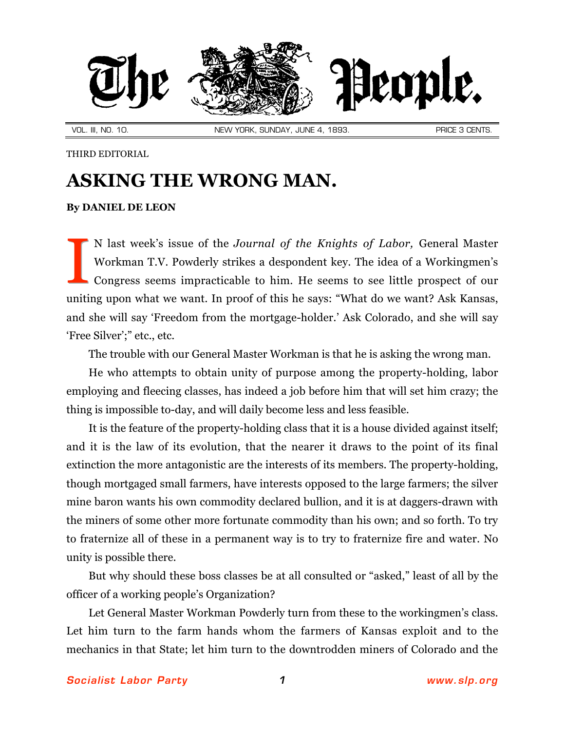

VOL. III, NO. 10. NEW YORK, SUNDAY, JUNE 4, 1893. PRICE 3 CENTS.

THIRD EDITORIAL

## **ASKING THE WRONG MAN.**

## **By [DANIEL DE LEON](http://slp.org/De_Leon.htm)**

N last week's issue of the *Journal of the Knights of Labor,* General Master Workman T.V. Powderly strikes a despondent key. The idea of a Workingmen's Congress seems impracticable to him. He seems to see little prospect of our uniting upon what we want. In proof of this he says: "What do we want? Ask Kansas, and she will say 'Freedom from the mortgage-holder.' Ask Colorado, and she will say 'Free Silver';" etc., etc. I

The trouble with our General Master Workman is that he is asking the wrong man.

He who attempts to obtain unity of purpose among the property-holding, labor employing and fleecing classes, has indeed a job before him that will set him crazy; the thing is impossible to-day, and will daily become less and less feasible.

It is the feature of the property-holding class that it is a house divided against itself; and it is the law of its evolution, that the nearer it draws to the point of its final extinction the more antagonistic are the interests of its members. The property-holding, though mortgaged small farmers, have interests opposed to the large farmers; the silver mine baron wants his own commodity declared bullion, and it is at daggers-drawn with the miners of some other more fortunate commodity than his own; and so forth. To try to fraternize all of these in a permanent way is to try to fraternize fire and water. No unity is possible there.

But why should these boss classes be at all consulted or "asked," least of all by the officer of a working people's Organization?

Let General Master Workman Powderly turn from these to the workingmen's class. Let him turn to the farm hands whom the farmers of Kansas exploit and to the mechanics in that State; let him turn to the downtrodden miners of Colorado and the